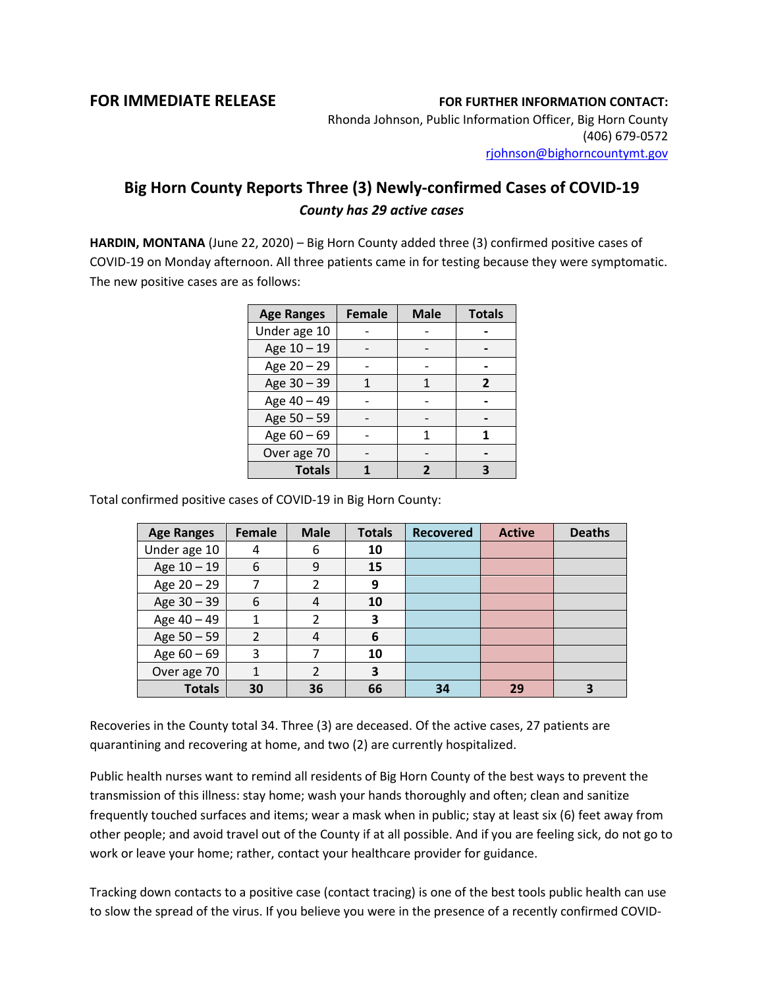## **FOR IMMEDIATE RELEASE FOR FURTHER INFORMATION CONTACT:**

Rhonda Johnson, Public Information Officer, Big Horn County (406) 679-0572 [rjohnson@bighorncountymt.gov](mailto:rjohnson@bighorncountymt.gov)

## **Big Horn County Reports Three (3) Newly-confirmed Cases of COVID-19** *County has 29 active cases*

**HARDIN, MONTANA** (June 22, 2020) – Big Horn County added three (3) confirmed positive cases of COVID-19 on Monday afternoon. All three patients came in for testing because they were symptomatic. The new positive cases are as follows:

| <b>Age Ranges</b> | <b>Female</b> | <b>Male</b> | <b>Totals</b>  |  |
|-------------------|---------------|-------------|----------------|--|
| Under age 10      |               |             |                |  |
| Age 10 - 19       |               |             |                |  |
| Age 20 - 29       |               |             |                |  |
| Age 30 - 39       |               |             | $\overline{2}$ |  |
| Age 40 - 49       |               |             |                |  |
| Age 50 - 59       |               |             |                |  |
| Age 60 - 69       |               |             |                |  |
| Over age 70       |               |             |                |  |
| <b>Totals</b>     |               | 7           | R              |  |

Total confirmed positive cases of COVID-19 in Big Horn County:

| <b>Age Ranges</b> | Female         | <b>Male</b>    | <b>Totals</b> | <b>Recovered</b> | <b>Active</b> | <b>Deaths</b> |
|-------------------|----------------|----------------|---------------|------------------|---------------|---------------|
| Under age 10      | 4              | 6              | 10            |                  |               |               |
| Age 10 - 19       | 6              | 9              | 15            |                  |               |               |
| Age 20 - 29       |                | 2              | 9             |                  |               |               |
| Age 30 - 39       | 6              | 4              | 10            |                  |               |               |
| Age 40 - 49       | 1              | $\mathcal{P}$  | 3             |                  |               |               |
| Age 50 - 59       | $\mathfrak{D}$ | 4              | 6             |                  |               |               |
| Age $60 - 69$     | 3              |                | 10            |                  |               |               |
| Over age 70       | 1              | $\mathfrak{p}$ | 3             |                  |               |               |
| <b>Totals</b>     | 30             | 36             | 66            | 34               | 29            |               |

Recoveries in the County total 34. Three (3) are deceased. Of the active cases, 27 patients are quarantining and recovering at home, and two (2) are currently hospitalized.

Public health nurses want to remind all residents of Big Horn County of the best ways to prevent the transmission of this illness: stay home; wash your hands thoroughly and often; clean and sanitize frequently touched surfaces and items; wear a mask when in public; stay at least six (6) feet away from other people; and avoid travel out of the County if at all possible. And if you are feeling sick, do not go to work or leave your home; rather, contact your healthcare provider for guidance.

Tracking down contacts to a positive case (contact tracing) is one of the best tools public health can use to slow the spread of the virus. If you believe you were in the presence of a recently confirmed COVID-